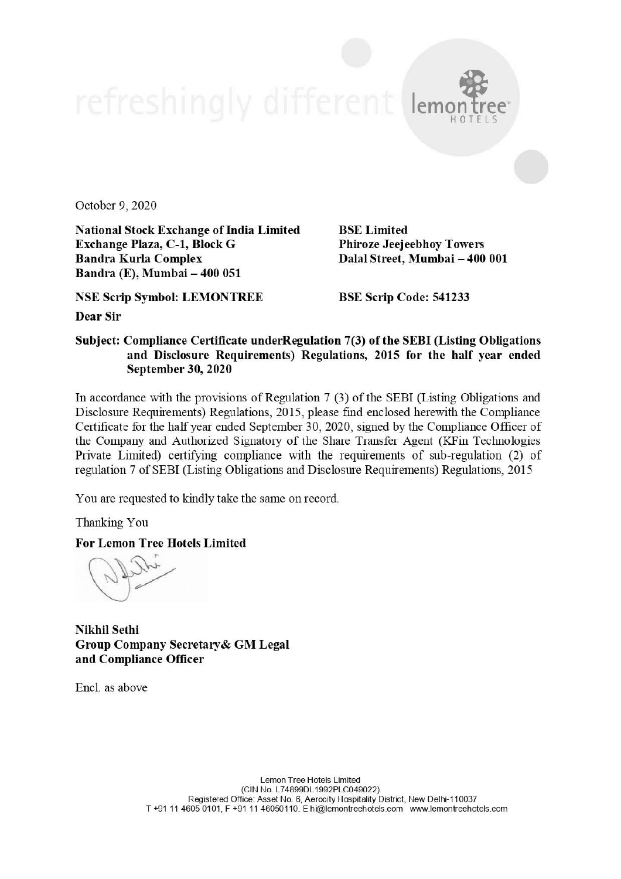October 9, 2020

National Stock Exchange of India Limited Exchange Plaza, C-1, Block G Bandra Kurla Complex Bandra (E), Mumbai- 400 051

NSE Scrip Symbol: LEMONTREE

BSE Limited Phiroze Jeejeebhoy Towers Dalal Street, Mumbai - 400 001

 $\mathbf{R}$ 

HOTE

BSE Scrip Code: 541233

Dear Sir

## Subject: Compliance Certificate underRegulation 7(3) of the SEBI (Listing Obligations and Disclosure Requirements) Regulations, 2015 for the half year ended September 30, 2020

In accordance with the provisions of Regulation 7 (3) of the SEBI (Listing Obligations and Disclosure Requirements) Regulations, 2015, please find enclosed herewith the Compliance Certificate for the half year ended September 30, 2020, signed by the Compliance Officer of the Company and Authorized Signatory of the Share Transfer Agent (KFin Technologies Private Limited) certifying compliance with the requirements of sub-regulation (2) of regulation 7 of SEBI (Listing Obligations and Disclosure Requirements) Regulations, 2015

You are requested to kindly take the same on record.

Thanking You

For Lemon Tree Hotels Limited

Nikhil Sethi Group Company Secretary& GM Legal and Compliance Officer

Encl. as above